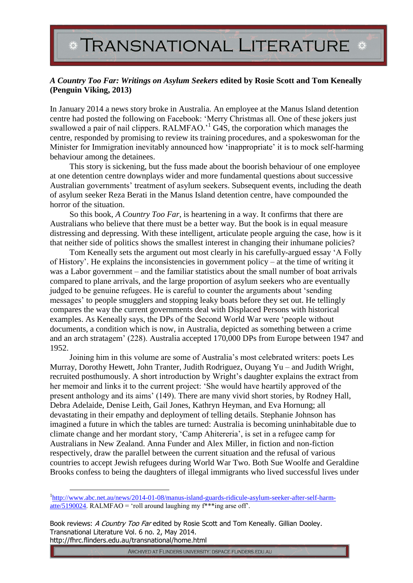## TRANSNATIONAL LITERATURE \*

## *A Country Too Far: Writings on Asylum Seekers* **edited by Rosie Scott and Tom Keneally (Penguin Viking, 2013)**

In January 2014 a news story broke in Australia. An employee at the Manus Island detention centre had posted the following on Facebook: 'Merry Christmas all. One of these jokers just swallowed a pair of nail clippers. RALMFAO.'<sup>1</sup> G4S, the corporation which manages the centre, responded by promising to review its training procedures, and a spokeswoman for the Minister for Immigration inevitably announced how 'inappropriate' it is to mock self-harming behaviour among the detainees.

This story is sickening, but the fuss made about the boorish behaviour of one employee at one detention centre downplays wider and more fundamental questions about successive Australian governments' treatment of asylum seekers. Subsequent events, including the death of asylum seeker Reza Berati in the Manus Island detention centre, have compounded the horror of the situation.

So this book, *A Country Too Far*, is heartening in a way. It confirms that there are Australians who believe that there must be a better way. But the book is in equal measure distressing and depressing. With these intelligent, articulate people arguing the case, how is it that neither side of politics shows the smallest interest in changing their inhumane policies?

Tom Keneally sets the argument out most clearly in his carefully-argued essay 'A Folly of History'. He explains the inconsistencies in government policy – at the time of writing it was a Labor government – and the familiar statistics about the small number of boat arrivals compared to plane arrivals, and the large proportion of asylum seekers who are eventually judged to be genuine refugees. He is careful to counter the arguments about 'sending messages' to people smugglers and stopping leaky boats before they set out. He tellingly compares the way the current governments deal with Displaced Persons with historical examples. As Keneally says, the DPs of the Second World War were 'people without documents, a condition which is now, in Australia, depicted as something between a crime and an arch stratagem' (228). Australia accepted 170,000 DPs from Europe between 1947 and 1952.

Joining him in this volume are some of Australia's most celebrated writers: poets Les Murray, Dorothy Hewett, John Tranter, Judith Rodriguez, Ouyang Yu – and Judith Wright, recruited posthumously. A short introduction by Wright's daughter explains the extract from her memoir and links it to the current project: 'She would have heartily approved of the present anthology and its aims' (149). There are many vivid short stories, by Rodney Hall, Debra Adelaide, Denise Leith, Gail Jones, Kathryn Heyman, and Eva Hornung; all devastating in their empathy and deployment of telling details. Stephanie Johnson has imagined a future in which the tables are turned: Australia is becoming uninhabitable due to climate change and her mordant story, 'Camp Ahitereria', is set in a refugee camp for Australians in New Zealand. Anna Funder and Alex Miller, in fiction and non-fiction respectively, draw the parallel between the current situation and the refusal of various countries to accept Jewish refugees during World War Two. Both Sue Woolfe and Geraldine Brooks confess to being the daughters of illegal immigrants who lived successful lives under

Book reviews: A Country Too Far edited by Rosie Scott and Tom Keneally. Gillian Dooley. Transnational Literature Vol. 6 no. 2, May 2014. http://fhrc.flinders.edu.au/transnational/home.html

 $\overline{a}$ 

ARCHIVED AT FLINDERS UNIVERSITY: DSPACE.FLINDERS.EDU.AU

<sup>&</sup>lt;sup>1</sup>[http://www.abc.net.au/news/2014-01-08/manus-island-guards-ridicule-asylum-seeker-after-self-harm](http://www.abc.net.au/news/2014-01-08/manus-island-guards-ridicule-asylum-seeker-after-self-harm-atte/5190024)[atte/5190024.](http://www.abc.net.au/news/2014-01-08/manus-island-guards-ridicule-asylum-seeker-after-self-harm-atte/5190024) RALMFAO = 'roll around laughing my  $f^{***}$ ing arse off'.